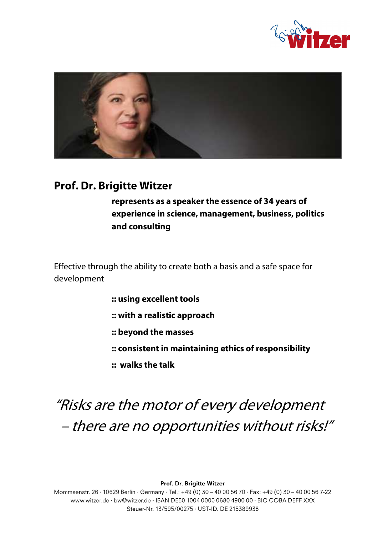



## **Prof. Dr. Brigitte Witzer**

**represents as a speaker the essence of 34 years of experience in science, management, business, politics and consulting**

Effective through the ability to create both a basis and a safe space for development

- **:: using excellent tools**
- **:: with a realistic approach**
- **:: beyond the masses**
- **:: consistent in maintaining ethics of responsibility**
- **:: walks the talk**

# "Risks are the motor of every development – there are no opportunities without risks!"

Prof. Dr. Brigitte Witzer

Mommsenstr. 26 · 10629 Berlin · Germany · Tel.: +49 (0) 30 - 40 00 56 70 · Fax: +49 (0) 30 - 40 00 56 7-22 www.witzer.de · bw@witzer.de · IBAN DE50 1004 0000 0680 4900 00 · BIC COBA DEFF XXX Steuer-Nr. 13/595/00275 · UST-ID, DE 215389938